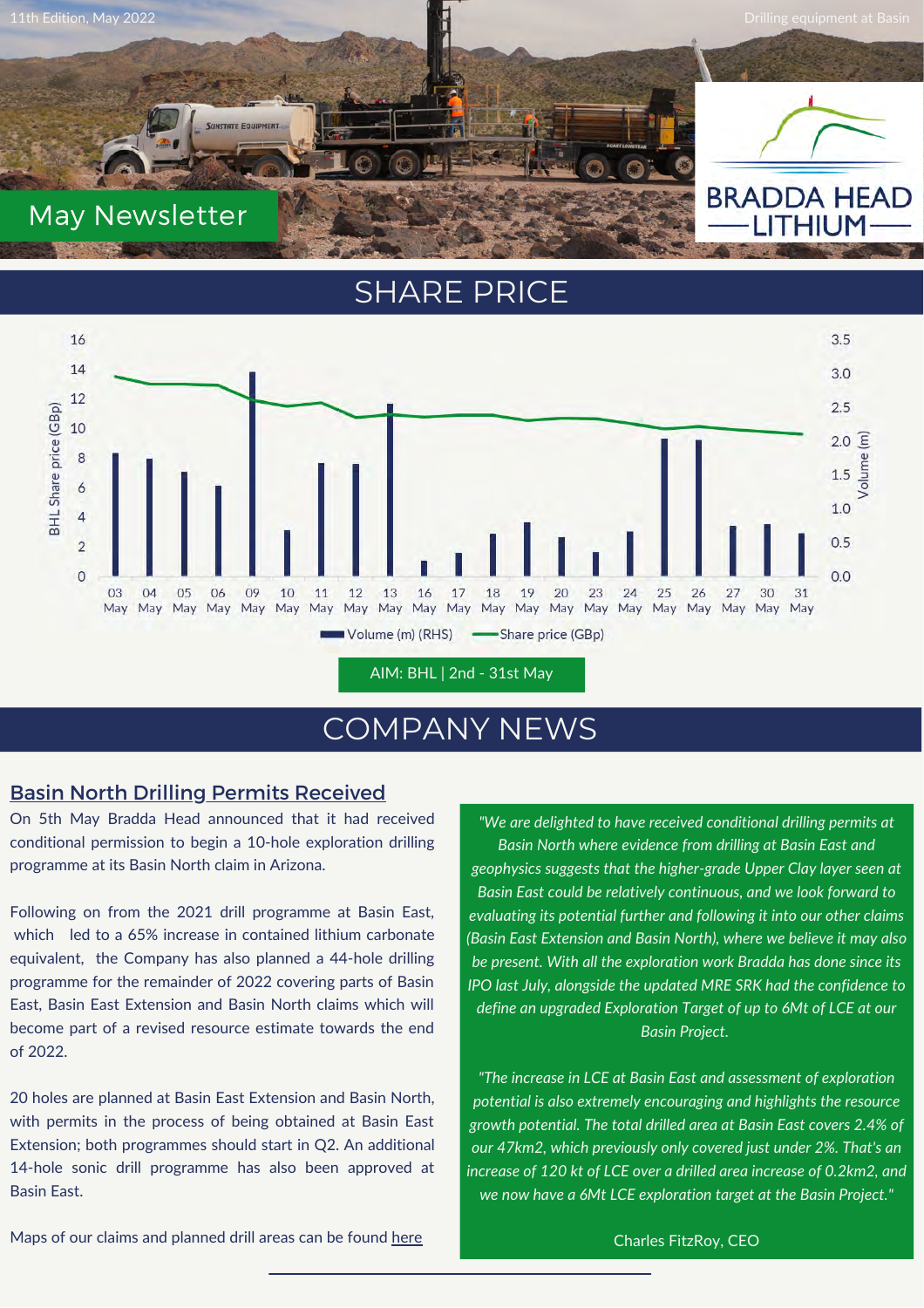

### SHARE PRICE



## COMPANY NEWS

#### Basin North Drilling Permits Received

On 5th May Bradda Head announced that it had received conditional permission to begin a 10-hole exploration drilling programme at its Basin North claim in Arizona.

Following on from the 2021 drill programme at Basin East, which led to a 65% increase in contained lithium carbonate equivalent, the Company has also planned a 44-hole drilling programme for the remainder of 2022 covering parts of Basin East, Basin East Extension and Basin North claims which will become part of a revised resource estimate towards the end of 2022.

20 holes are planned at Basin East Extension and Basin North, with permits in the process of being obtained at Basin East Extension; both programmes should start in Q2. An additional 14-hole sonic drill programme has also been approved at Basin East.

*"We are delighted to have received conditional drilling permits at Basin North where evidence from drilling at Basin East and geophysics suggests that the higher-grade Upper Clay layer seen at Basin East could be relatively continuous, and we look forward to evaluating its potential further and following it into our other claims (Basin East Extension and Basin North), where we believe it may also be present. With all the exploration work Bradda has done since its IPO last July, alongside the updated MRE SRK had the confidence to define an upgraded Exploration Target of up to 6Mt of LCE at our Basin Project.*

*"The increase in LCE at Basin East and assessment of exploration potential is also extremely encouraging and highlights the resource growth potential. The total drilled area at Basin East covers 2.4% of our 47km2, which previously only covered just under 2%. That's an increase of 120 kt of LCE over a drilled area increase of 0.2km2, and we now have a 6Mt LCE exploration target at the Basin Project."*

Maps of our claims and planned drill areas can be found [here](https://www.braddaheadltd.com/media/image-library/)

Charles FitzRoy, CEO